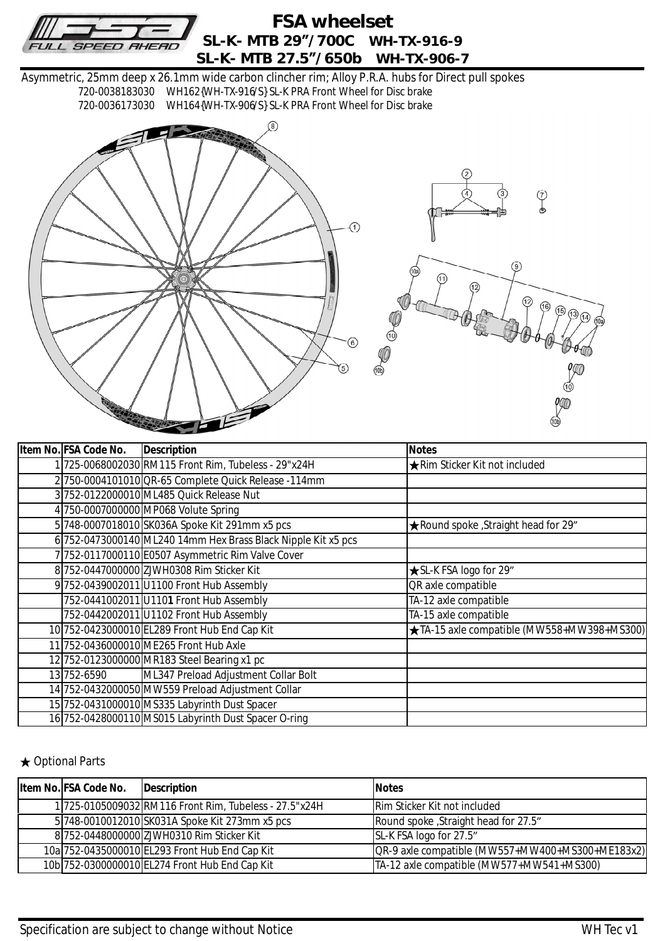

## **FSA wheelset SL-K- MTB 29"/700C WH-TX-916-9 SL-K- MTB 27.5"/650b WH-TX-906-7**

Asymmetric, 25mm deep x 26.1mm wide carbon clincher rim; Alloy P.R.A. hubs for Direct pull spokes 720-0038183030 WH162{WH-TX-916/S} SL-K PRA Front Wheel for Disc brake 720-0036173030 WH164{WH-TX-906/S} SL-K PRA Front Wheel for Disc brake



| Item No. FSA Code No. | Description                                                   | <b>Notes</b>                               |
|-----------------------|---------------------------------------------------------------|--------------------------------------------|
|                       | 1 725-0068002030 RM115 Front Rim, Tubeless - 29"x24H          | <b>★Rim Sticker Kit not included</b>       |
|                       | 2 750-0004101010 QR-65 Complete Quick Release - 114mm         |                                            |
|                       | 3 752-0122000010 ML485 Quick Release Nut                      |                                            |
|                       | 4 750-0007000000 MP068 Volute Spring                          |                                            |
|                       | 5 748-0007018010 SK036A Spoke Kit 291mm x5 pcs                | ★ Round spoke , Straight head for 29"      |
|                       | 6 752-0473000140 ML240 14mm Hex Brass Black Nipple Kit x5 pcs |                                            |
|                       | 7 752-0117000110 E0507 Asymmetric Rim Valve Cover             |                                            |
|                       | 8 752-0447000000 ZJWH0308 Rim Sticker Kit                     | <b>★SL-K FSA logo for 29"</b>              |
|                       | 9 752-0439002011 U1100 Front Hub Assembly                     | QR axle compatible                         |
|                       | 752-0441002011 U1101 Front Hub Assembly                       | TA-12 axle compatible                      |
|                       | 752-0442002011 U1102 Front Hub Assembly                       | TA-15 axle compatible                      |
|                       | 10 752-0423000010 EL289 Front Hub End Cap Kit                 | ★TA-15 axle compatible (MW558+MW398+MS300) |
|                       | 11 752-0436000010 ME265 Front Hub Axle                        |                                            |
|                       | 12 752-0123000000 MR183 Steel Bearing x1 pc                   |                                            |
| 13 752-6590           | ML347 Preload Adjustment Collar Bolt                          |                                            |
|                       | 14 752-0432000050 MW559 Preload Adjustment Collar             |                                            |
|                       | 15 752-0431000010 MS335 Labyrinth Dust Spacer                 |                                            |
|                       | 16 752-0428000110 MS015 Labyrinth Dust Spacer O-ring          |                                            |

## ★ Optional Parts

| Item No. FSA Code No. | Description                                            | <b>Notes</b>                                     |
|-----------------------|--------------------------------------------------------|--------------------------------------------------|
|                       | 1 725-0105009032 RM116 Front Rim, Tubeless - 27.5"x24H | <b>Rim Sticker Kit not included</b>              |
|                       | 5 748-0010012010 SK031A Spoke Kit 273mm x5 pcs         | Round spoke, Straight head for 27.5"             |
|                       | 8 752-0448000000 ZJWH0310 Rim Sticker Kit              | SL-K FSA logo for 27.5"                          |
|                       | 10a 752-0435000010 EL293 Front Hub End Cap Kit         | OR-9 axle compatible (MW557+MW400+MS300+ME183x2) |
|                       | 10b 752-0300000010 EL274 Front Hub End Cap Kit         | TA-12 axle compatible (MW577+MW541+MS300)        |